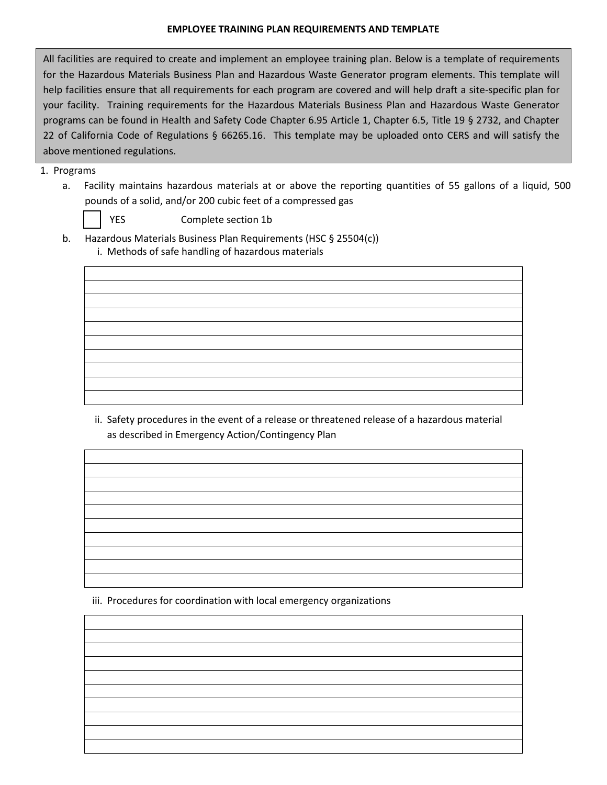### **EMPLOYEE TRAINING PLAN REQUIREMENTS AND TEMPLATE**

All facilities are required to create and implement an employee training plan. Below is a template of requirements for the Hazardous Materials Business Plan and Hazardous Waste Generator program elements. This template will help facilities ensure that all requirements for each program are covered and will help draft a site-specific plan for your facility. Training requirements for the Hazardous Materials Business Plan and Hazardous Waste Generator programs can be found in Health and Safety Code Chapter 6.95 Article 1, Chapter 6.5, Title 19 § 2732, and Chapter 22 of California Code of Regulations § 66265.16. This template may be uploaded onto CERS and will satisfy the above mentioned regulations.

### 1. Programs

- a. Facility maintains hazardous materials at or above the reporting quantities of 55 gallons of a liquid, 500 pounds of a solid, and/or 200 cubic feet of a compressed gas
	-

YES Complete section 1b

- b. Hazardous Materials Business Plan Requirements (HSC § 25504(c))
	- i. Methods of safe handling of hazardous materials

ii. Safety procedures in the event of a release or threatened release of a hazardous material as described in Emergency Action/Contingency Plan

iii. Procedures for coordination with local emergency organizations

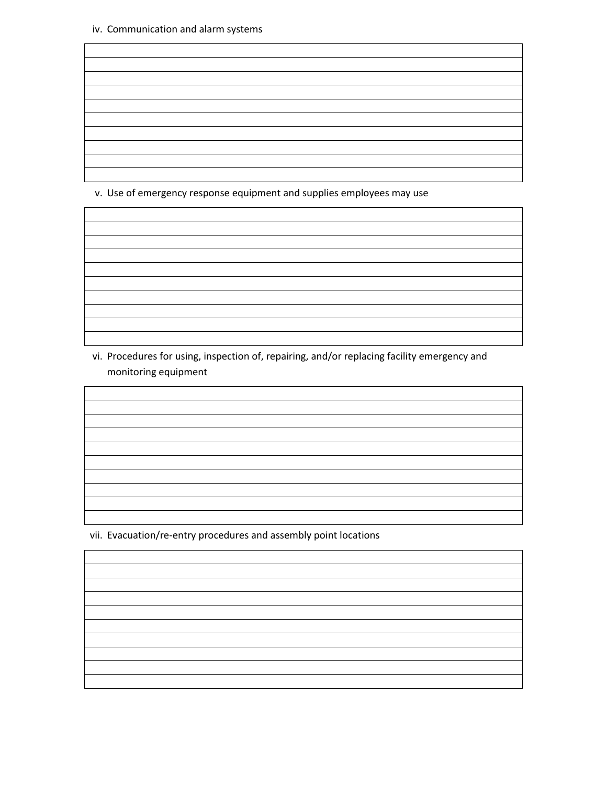- - v. Use of emergency response equipment and supplies employees may use

vi. Procedures for using, inspection of, repairing, and/or replacing facility emergency and monitoring equipment

vii. Evacuation/re-entry procedures and assembly point locations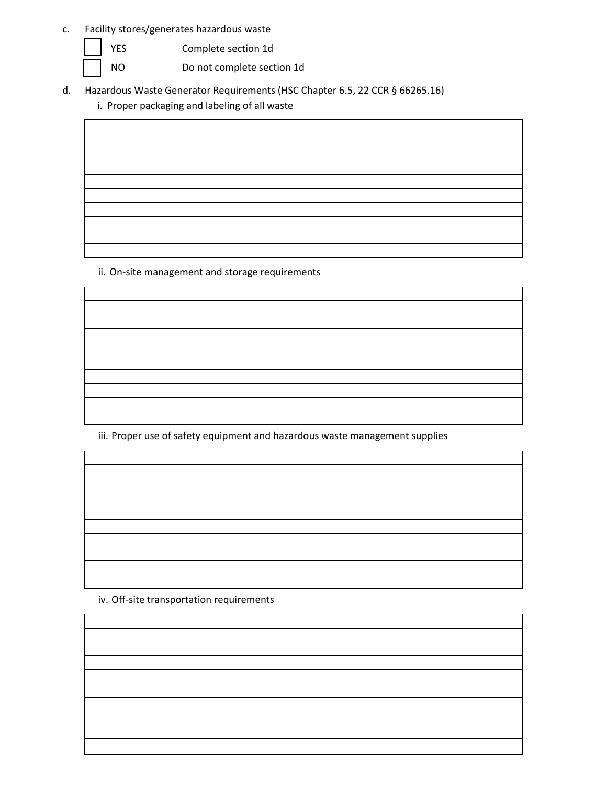- c. Facility stores/generates hazardous waste
	- - YES Complete section 1d
		- NO Do not complete section 1d
- d. Hazardous Waste Generator Requirements (HSC Chapter 6.5, 22 CCR § 66265.16)
	- i. Proper packaging and labeling of all waste

ii. On-site management and storage requirements

iii. Proper use of safety equipment and hazardous waste management supplies

iv. Off-site transportation requirements

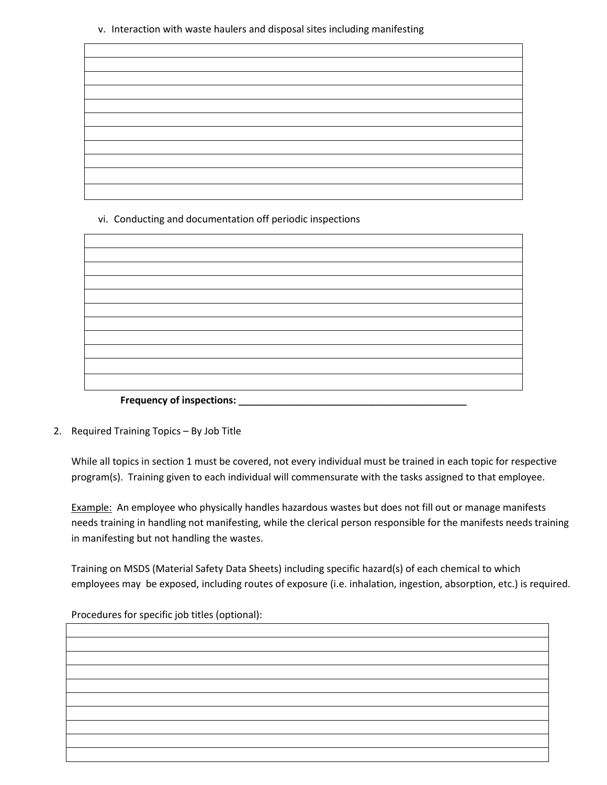v. Interaction with waste haulers and disposal sites including manifesting

vi. Conducting and documentation off periodic inspections

| <b>Frequency of inspections:</b> |  |  |
|----------------------------------|--|--|

2. Required Training Topics – By Job Title

While all topics in section 1 must be covered, not every individual must be trained in each topic for respective program(s). Training given to each individual will commensurate with the tasks assigned to that employee.

Example: An employee who physically handles hazardous wastes but does not fill out or manage manifests needs training in handling not manifesting, while the clerical person responsible for the manifests needs training in manifesting but not handling the wastes.

Training on MSDS (Material Safety Data Sheets) including specific hazard(s) of each chemical to which employees may be exposed, including routes of exposure (i.e. inhalation, ingestion, absorption, etc.) is required.

Procedures for specific job titles (optional):